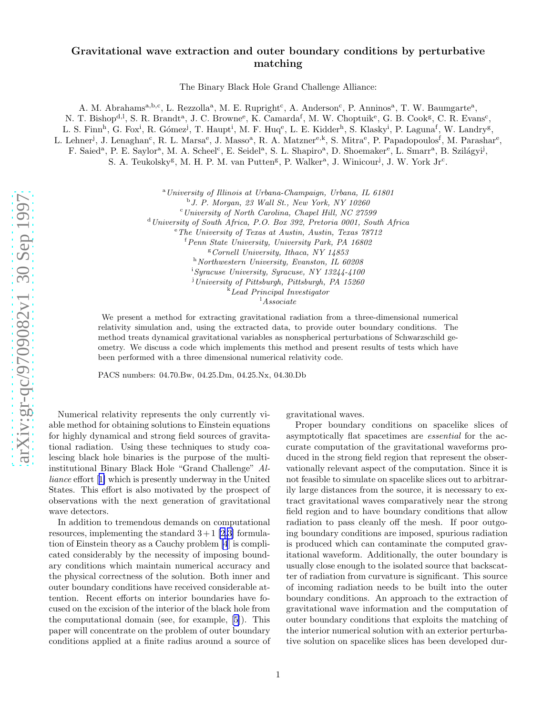## Gravitational wave extraction and outer boundary conditions by perturbative matching

The Binary Black Hole Grand Challenge Alliance:

A. M. Abrahams<sup>a,b,c</sup>, L. Rezzolla<sup>a</sup>, M. E. Rupright<sup>c</sup>, A. Anderson<sup>c</sup>, P. Anninos<sup>a</sup>, T. W. Baumgarte<sup>a</sup>, N. T. Bishop<sup>d, 1</sup>, S. R. Brandt<sup>a</sup>, J. C. Browne<sup>e</sup>, K. Camarda<sup>f</sup>, M. W. Choptuik<sup>e</sup>, G. B. Cook<sup>g</sup>, C. R. Evans<sup>c</sup>,

L. S. Finn<sup>h</sup>, G. Fox<sup>i</sup>, R. Gómez<sup>j</sup>, T. Haupt<sup>i</sup>, M. F. Huq<sup>e</sup>, L. E. Kidder<sup>h</sup>, S. Klasky<sup>i</sup>, P. Laguna<sup>f</sup>, W. Landry<sup>g</sup>,

L. Lehner<sup>j</sup>, J. Lenaghan<sup>c</sup>, R. L. Marsa<sup>e</sup>, J. Masso<sup>a</sup>, R. A. Matzner<sup>e,k</sup>, S. Mitra<sup>e</sup>, P. Papadopoulos<sup>f</sup>, M. Parashar<sup>e</sup>,

F. Saied<sup>a</sup>, P. E. Saylor<sup>a</sup>, M. A. Scheel<sup>c</sup>, E. Seidel<sup>a</sup>, S. L. Shapiro<sup>a</sup>, D. Shoemaker<sup>e</sup>, L. Smarr<sup>a</sup>, B. Szilágyi<sup>j</sup>, S. A. Teukolsky<sup>g</sup>, M. H. P. M. van Putten<sup>g</sup>, P. Walker<sup>a</sup>, J. Winicour<sup>j</sup>, J. W. York Jr<sup>c</sup>.

<sup>a</sup>University of Illinois at Urbana-Champaign, Urbana, IL 61801

b J. P. Morgan, 23 Wall St., New York, NY 10260

 $c$ University of North Carolina, Chapel Hill, NC 27599

<sup>d</sup> University of South Africa, P.O. Box 392, Pretoria 0001, South Africa

 $e^e$ The University of Texas at Austin, Austin, Texas  $78712$ 

 $f$ Penn State University, University Park, PA 16802

 ${}^8$  Cornell University, Ithaca, NY 14853

h Northwestern University, Evanston, IL 60208

<sup>i</sup>Syracuse University, Syracuse, NY 13244-4100

<sup>j</sup>University of Pittsburgh, Pittsburgh, PA 15260

<sup>k</sup>Lead Principal Investigator

 $\frac{1}{1}$ Associate

We present a method for extracting gravitational radiation from a three-dimensional numerical relativity simulation and, using the extracted data, to provide outer boundary conditions. The method treats dynamical gravitational variables as nonspherical perturbations of Schwarzschild geometry. We discuss a code which implements this method and present results of tests which have been performed with a three dimensional numerical relativity code.

PACS numbers: 04.70.Bw, 04.25.Dm, 04.25.Nx, 04.30.Db

Numerical relativity represents the only currently viable method for obtaining solutions to Einstein equations for highly dynamical and strong field sources of gravitational radiation. Using these techniques to study coalescing black hole binaries is the purpose of the multiinstitutional Binary Black Hole "Grand Challenge" Alliance effort[[1\]](#page-3-0) which is presently underway in the United States. This effort is also motivated by the prospect of observations with the next generation of gravitational wave detectors.

In addition to tremendous demands on computational resources, implementing the standard  $3+1$  [\[2,3](#page-4-0)] formulation of Einstein theory as a Cauchy problem [\[4](#page-4-0)] is complicated considerably by the necessity of imposing boundary conditions which maintain numerical accuracy and the physical correctness of the solution. Both inner and outer boundary conditions have received considerable attention. Recent efforts on interior boundaries have focused on the excision of the interior of the black hole from the computational domain (see, for example,[[5](#page-4-0)]). This paper will concentrate on the problem of outer boundary conditions applied at a finite radius around a source of gravitational waves.

Proper boundary conditions on spacelike slices of asymptotically flat spacetimes are essential for the accurate computation of the gravitational waveforms produced in the strong field region that represent the observationally relevant aspect of the computation. Since it is not feasible to simulate on spacelike slices out to arbitrar ily large distances from the source, it is necessary to extract gravitational waves comparatively near the strong field region and to have boundary conditions that allow radiation to pass cleanly off the mesh. If poor outgoing boundary conditions are imposed, spurious radiation is produced which can contaminate the computed gravitational waveform. Additionally, the outer boundary is usually close enough to the isolated source that backscatter of radiation from curvature is significant. This source of incoming radiation needs to be built into the outer boundary conditions. An approach to the extraction of gravitational wave information and the computation of outer boundary conditions that exploits the matching of the interior numerical solution with an exterior perturbative solution on spacelike slices has been developed dur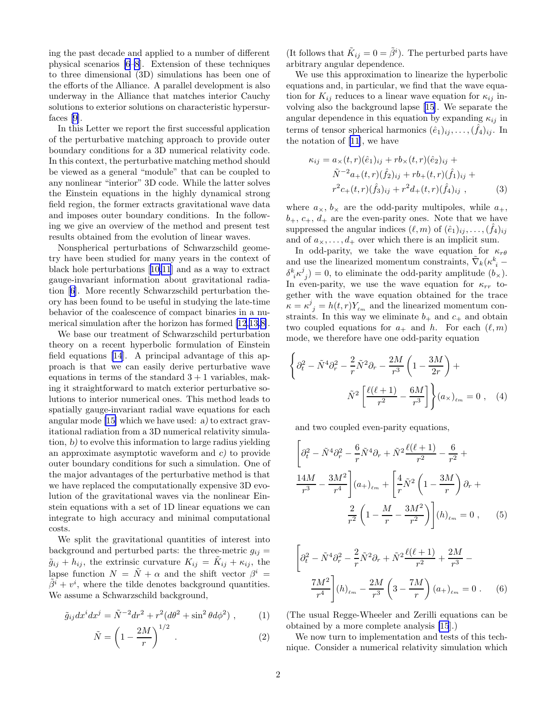<span id="page-1-0"></span>ing the past decade and applied to a number of different physical scenarios [\[6–8](#page-4-0)]. Extension of these techniques to three dimensional (3D) simulations has been one of the efforts of the Alliance. A parallel development is also underway in the Alliance that matches interior Cauchy solutions to exterior solutions on characteristic hypersurfaces[[9\]](#page-4-0).

In this Letter we report the first successful application of the perturbative matching approach to provide outer boundary conditions for a 3D numerical relativity code. In this context, the perturbative matching method should be viewed as a general "module" that can be coupled to any nonlinear "interior" 3D code. While the latter solves the Einstein equations in the highly dynamical strong field region, the former extracts gravitational wave data and imposes outer boundary conditions. In the following we give an overview of the method and present test results obtained from the evolution of linear waves.

Nonspherical perturbations of Schwarzschild geometry have been studied for many years in the context of black hole perturbations[[10,11](#page-4-0)] and as a way to extract gauge-invariant information about gravitational radiation[[6\]](#page-4-0). More recently Schwarzschild perturbation theory has been found to be useful in studying the late-time behavior of the coalescence of compact binaries in a numerical simulation after the horizon has formed [\[12](#page-4-0),[13,8\]](#page-4-0).

We base our treatment of Schwarzschild perturbation theory on a recent hyperbolic formulation of Einstein field equations [\[14](#page-4-0)]. A principal advantage of this approach is that we can easily derive perturbative wave equations in terms of the standard  $3 + 1$  variables, making it straightforward to match exterior perturbative solutions to interior numerical ones. This method leads to spatially gauge-invariant radial wave equations for each angular mode [\[15\]](#page-4-0) which we have used: a) to extract gravitational radiation from a 3D numerical relativity simulation, b) to evolve this information to large radius yielding an approximate asymptotic waveform and c) to provide outer boundary conditions for such a simulation. One of the major advantages of the perturbative method is that we have replaced the computationally expensive 3D evolution of the gravitational waves via the nonlinear Einstein equations with a set of 1D linear equations we can integrate to high accuracy and minimal computational costs.

We split the gravitational quantities of interest into background and perturbed parts: the three-metric  $g_{ij} =$  $\tilde{g}_{ij} + h_{ij}$ , the extrinsic curvature  $K_{ij} = \tilde{K}_{ij} + \kappa_{ij}$ , the lapse function  $N = \tilde{N} + \alpha$  and the shift vector  $\beta^{i} =$  $\tilde{\beta}^i + v^i$ , where the tilde denotes background quantities. We assume a Schwarzschild background,

$$
\tilde{g}_{ij}dx^{i}dx^{j} = \tilde{N}^{-2}dr^{2} + r^{2}(d\theta^{2} + \sin^{2}\theta d\phi^{2}), \qquad (1)
$$

$$
\tilde{N} = \left(1 - \frac{2M}{r}\right)^{1/2} \tag{2}
$$

(It follows that  $\tilde{K}_{ij} = 0 = \tilde{\beta}^i$ ). The perturbed parts have arbitrary angular dependence.

We use this approximation to linearize the hyperbolic equations and, in particular, we find that the wave equation for  $K_{ij}$  reduces to a linear wave equation for  $\kappa_{ij}$  involving also the background lapse [\[15](#page-4-0)]. We separate the angular dependence in this equation by expanding  $\kappa_{ij}$  in terms of tensor spherical harmonics  $(\hat{e}_1)_{ij}, \ldots, (\hat{f}_4)_{ij}$ . In the notation of [\[11](#page-4-0)], we have

$$
\kappa_{ij} = a_{\times}(t, r)(\hat{e}_1)_{ij} + rb_{\times}(t, r)(\hat{e}_2)_{ij} +
$$
  
\n
$$
\tilde{N}^{-2}a_{+}(t, r)(\hat{f}_2)_{ij} + rb_{+}(t, r)(\hat{f}_1)_{ij} +
$$
  
\n
$$
r^2c_{+}(t, r)(\hat{f}_3)_{ij} + r^2d_{+}(t, r)(\hat{f}_4)_{ij},
$$
\n(3)

where  $a_{\times}, b_{\times}$  are the odd-parity multipoles, while  $a_{+}$ ,  $b_+, c_+, d_+$  are the even-parity ones. Note that we have suppressed the angular indices  $(\ell, m)$  of  $(\hat{e}_1)_{ij}, \ldots, (\hat{f}_4)_{ij}$ and of  $a_{\times}, \ldots, a_{+}$  over which there is an implicit sum.

In odd-parity, we take the wave equation for  $\kappa_{r\theta}$ and use the linearized momentum constraints,  $\tilde{\nabla}_k (\kappa^k_{\ i}$   $\delta^k_{\ i}\kappa^j_{\ j})=0$ , to eliminate the odd-parity amplitude  $(b_\times)$ . In even-parity, we use the wave equation for  $\kappa_{rr}$  together with the wave equation obtained for the trace  $\tilde{\kappa} = \kappa^j_{\ j} = h(t, r) Y_{\ell m}$  and the linearized momentum constraints. In this way we eliminate  $b_+$  and  $c_+$  and obtain two coupled equations for  $a_+$  and h. For each  $(\ell, m)$ mode, we therefore have one odd-parity equation

$$
\left\{\partial_t^2 - \tilde{N}^4 \partial_r^2 - \frac{2}{r} \tilde{N}^2 \partial_r - \frac{2M}{r^3} \left(1 - \frac{3M}{2r}\right) + \tilde{N}^2 \left[\frac{\ell(\ell+1)}{r^2} - \frac{6M}{r^3}\right] \right\} (a_\times)_{\ell m} = 0 , \quad (4)
$$

and two coupled even-parity equations,

$$
\left[\partial_t^2 - \tilde{N}^4 \partial_r^2 - \frac{6}{r} \tilde{N}^4 \partial_r + \tilde{N}^2 \frac{\ell(\ell+1)}{r^2} - \frac{6}{r^2} + \frac{14M}{r^3} - \frac{3M^2}{r^4} \right] (a_+)_{\ell m} + \left[ \frac{4}{r} \tilde{N}^2 \left( 1 - \frac{3M}{r} \right) \partial_r + \frac{2}{r^2} \left( 1 - \frac{M}{r} - \frac{3M^2}{r^2} \right) \right] (h)_{\ell m} = 0 , \quad (5)
$$

$$
\left[\partial_t^2 - \tilde{N}^4 \partial_r^2 - \frac{2}{r} \tilde{N}^2 \partial_r + \tilde{N}^2 \frac{\ell(\ell+1)}{r^2} + \frac{2M}{r^3} - \frac{7M^2}{r^4} \right] (h)_{\ell m} - \frac{2M}{r^3} \left(3 - \frac{7M}{r}\right) (a_+)_{\ell m} = 0 \ . \tag{6}
$$

(The usual Regge-Wheeler and Zerilli equations can be obtained by a more complete analysis [\[15](#page-4-0)].)

We now turn to implementation and tests of this technique. Consider a numerical relativity simulation which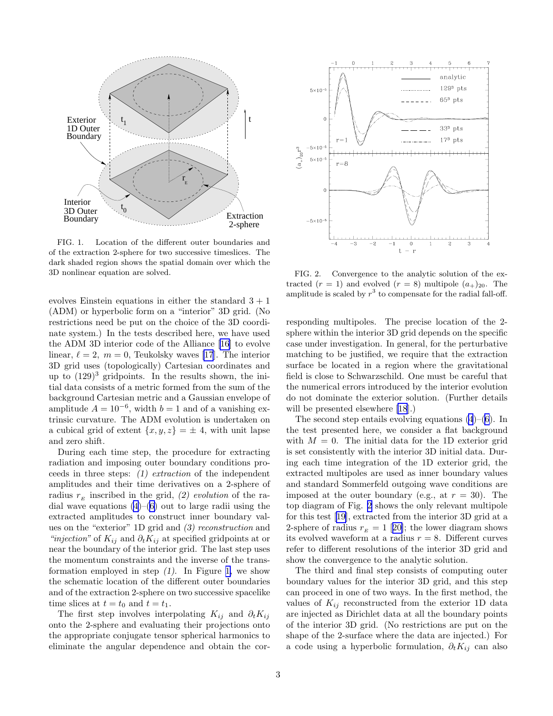

FIG. 1. Location of the different outer boundaries and of the extraction 2-sphere for two successive timeslices. The dark shaded region shows the spatial domain over which the 3D nonlinear equation are solved.

evolves Einstein equations in either the standard  $3 + 1$ (ADM) or hyperbolic form on a "interior" 3D grid. (No restrictions need be put on the choice of the 3D coordinate system.) In the tests described here, we have used the ADM 3D interior code of the Alliance[[16](#page-4-0)] to evolve linear,  $\ell = 2, m = 0$ , Teukolsky waves [\[17](#page-4-0)]. The interior 3D grid uses (topologically) Cartesian coordinates and up to  $(129)^3$  gridpoints. In the results shown, the initial data consists of a metric formed from the sum of the background Cartesian metric and a Gaussian envelope of amplitude  $A = 10^{-6}$ , width  $b = 1$  and of a vanishing extrinsic curvature. The ADM evolution is undertaken on a cubical grid of extent  $\{x, y, z\} = \pm 4$ , with unit lapse and zero shift.

During each time step, the procedure for extracting radiation and imposing outer boundary conditions proceeds in three steps: (1) extraction of the independent amplitudes and their time derivatives on a 2-sphere of radius  $r_E$  inscribed in the grid, (2) evolution of the radial wave equations  $(4)$  $(4)$ – $(6)$  $(6)$  out to large radii using the extracted amplitudes to construct inner boundary values on the "exterior" 1D grid and (3) reconstruction and "*injection*" of  $K_{ij}$  and  $\partial_t K_{ij}$  at specified gridpoints at or near the boundary of the interior grid. The last step uses the momentum constraints and the inverse of the transformation employed in step  $(1)$ . In Figure 1, we show the schematic location of the different outer boundaries and of the extraction 2-sphere on two successive spacelike time slices at  $t = t_0$  and  $t = t_1$ .

The first step involves interpolating  $K_{ij}$  and  $\partial_t K_{ij}$ onto the 2-sphere and evaluating their projections onto the appropriate conjugate tensor spherical harmonics to eliminate the angular dependence and obtain the cor-



FIG. 2. Convergence to the analytic solution of the extracted  $(r = 1)$  and evolved  $(r = 8)$  multipole  $(a_{+})_{20}$ . The amplitude is scaled by  $r^3$  to compensate for the radial fall-off.

responding multipoles. The precise location of the 2 sphere within the interior 3D grid depends on the specific case under investigation. In general, for the perturbative matching to be justified, we require that the extraction surface be located in a region where the gravitational field is close to Schwarzschild. One must be careful that the numerical errors introduced by the interior evolution do not dominate the exterior solution. (Further details will be presented elsewhere [\[18](#page-4-0)].)

The second step entails evolving equations  $(4)$  $(4)$ – $(6)$  $(6)$ . In the test presented here, we consider a flat background with  $M = 0$ . The initial data for the 1D exterior grid is set consistently with the interior 3D initial data. During each time integration of the 1D exterior grid, the extracted multipoles are used as inner boundary values and standard Sommerfeld outgoing wave conditions are imposed at the outer boundary (e.g., at  $r = 30$ ). The top diagram of Fig. 2 shows the only relevant multipole for this test[[19\]](#page-4-0), extracted from the interior 3D grid at a 2-sphereof radius  $r_E = 1$  [[20\]](#page-4-0); the lower diagram shows its evolved waveform at a radius  $r = 8$ . Different curves refer to different resolutions of the interior 3D grid and show the convergence to the analytic solution.

The third and final step consists of computing outer boundary values for the interior 3D grid, and this step can proceed in one of two ways. In the first method, the values of  $K_{ij}$  reconstructed from the exterior 1D data are injected as Dirichlet data at all the boundary points of the interior 3D grid. (No restrictions are put on the shape of the 2-surface where the data are injected.) For a code using a hyperbolic formulation,  $\partial_t K_{ij}$  can also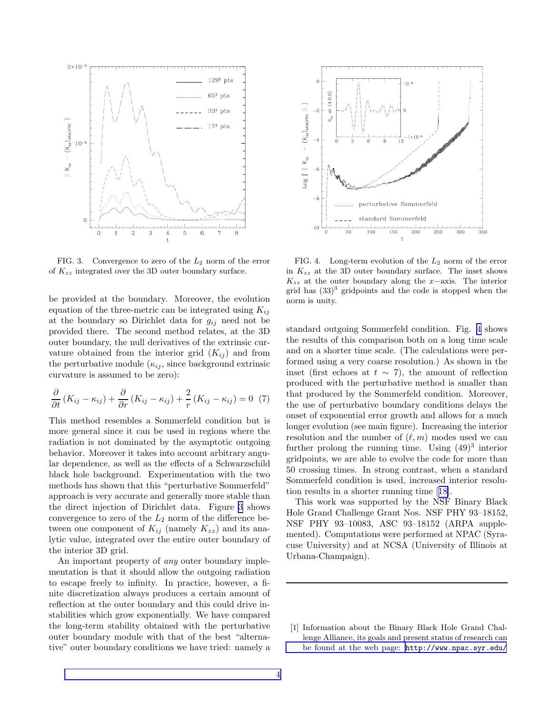<span id="page-3-0"></span>

FIG. 3. Convergence to zero of the  $L_2$  norm of the error of  $K_{zz}$  integrated over the 3D outer boundary surface.

be provided at the boundary. Moreover, the evolution equation of the three-metric can be integrated using  $K_{ij}$ at the boundary so Dirichlet data for  $g_{ij}$  need not be provided there. The second method relates, at the 3D outer boundary, the null derivatives of the extrinsic curvature obtained from the interior grid  $(K_{ij})$  and from the perturbative module  $(\kappa_{ij}, \text{ since background extrinsic})$ curvature is assumed to be zero):

$$
\frac{\partial}{\partial t} \left( K_{ij} - \kappa_{ij} \right) + \frac{\partial}{\partial r} \left( K_{ij} - \kappa_{ij} \right) + \frac{2}{r} \left( K_{ij} - \kappa_{ij} \right) = 0 \tag{7}
$$

This method resembles a Sommerfeld condition but is more general since it can be used in regions where the radiation is not dominated by the asymptotic outgoing behavior. Moreover it takes into account arbitrary angular dependence, as well as the effects of a Schwarzschild black hole background. Experimentation with the two methods has shown that this "perturbative Sommerfeld" approach is very accurate and generally more stable than the direct injection of Dirichlet data. Figure 3 shows convergence to zero of the  $L_2$  norm of the difference between one component of  $K_{ij}$  (namely  $K_{zz}$ ) and its analytic value, integrated over the entire outer boundary of the interior 3D grid.

An important property of any outer boundary implementation is that it should allow the outgoing radiation to escape freely to infinity. In practice, however, a finite discretization always produces a certain amount of reflection at the outer boundary and this could drive instabilities which grow exponentially. We have compared the long-term stability obtained with the perturbative outer boundary module with that of the best "alternative" outer boundary conditions we have tried: namely a



FIG. 4. Long-term evolution of the  $L_2$  norm of the error in  $K_{zz}$  at the 3D outer boundary surface. The inset shows  $K_{zz}$  at the outer boundary along the x–axis. The interior grid has  $(33)^3$  gridpoints and the code is stopped when the norm is unity.

standard outgoing Sommerfeld condition. Fig. 4 shows the results of this comparison both on a long time scale and on a shorter time scale. (The calculations were performed using a very coarse resolution.) As shown in the inset (first echoes at  $t \sim 7$ ), the amount of reflection produced with the perturbative method is smaller than that produced by the Sommerfeld condition. Moreover, the use of perturbative boundary conditions delays the onset of exponential error growth and allows for a much longer evolution (see main figure). Increasing the interior resolution and the number of  $(\ell, m)$  modes used we can further prolong the running time. Using  $(49)^3$  interior gridpoints, we are able to evolve the code for more than 50 crossing times. In strong contrast, when a standard Sommerfeld condition is used, increased interior resolution results in a shorter running time[[18\]](#page-4-0).

This work was supported by the NSF Binary Black Hole Grand Challenge Grant Nos. NSF PHY 93–18152, NSF PHY 93–10083, ASC 93–18152 (ARPA supplemented). Computations were performed at NPAC (Syracuse University) and at NCSA (University of Illinois at Urbana-Champaign).

<sup>[1]</sup> Information about the Binary Black Hole Grand Challenge Alliance, its goals and present status of research can [be found at the web page:](http://www.npac.syr.edu/\penalty -\@M ) [http://www.npac.syr.edu/](http://www.npac.syr.edu/\penalty -\@M )